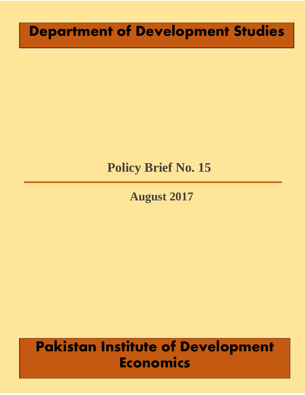# **Department of Development Studies**

## **Policy Brief No. 15**

# **August 2017**

# **Pakistan Institute of Development Economics**